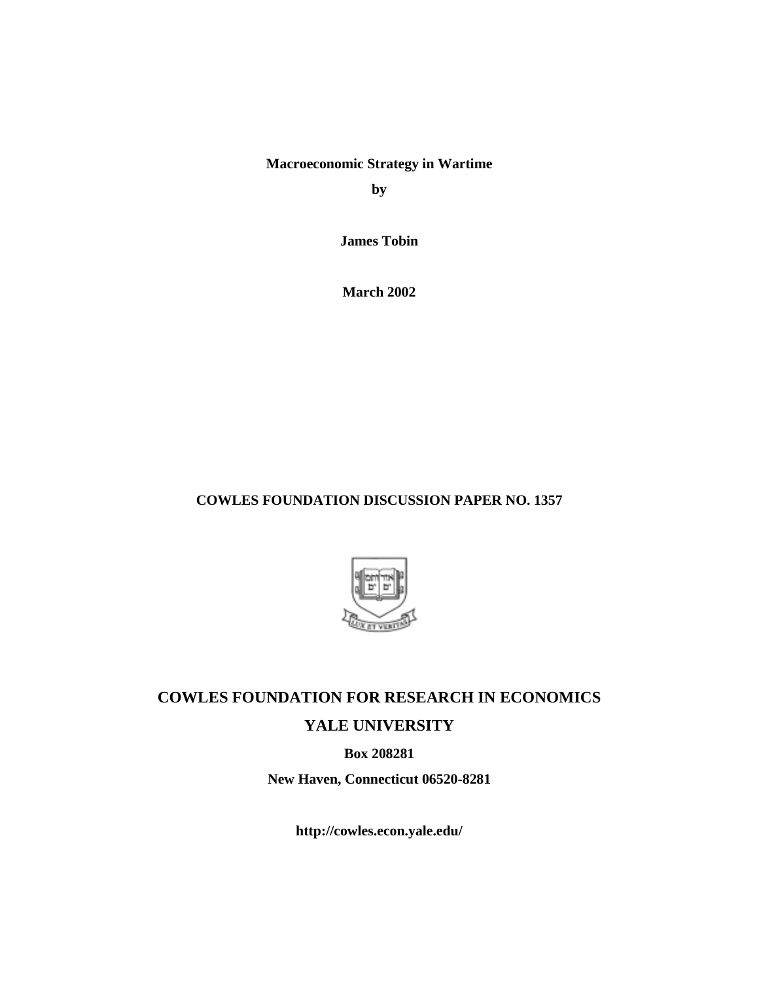**Macroeconomic Strategy in Wartime**

**by**

**James Tobin**

**March 2002**

**COWLES FOUNDATION DISCUSSION PAPER NO. 1357**



## **COWLES FOUNDATION FOR RESEARCH IN ECONOMICS**

## **YALE UNIVERSITY**

**Box 208281**

**New Haven, Connecticut 06520-8281**

**http://cowles.econ.yale.edu/**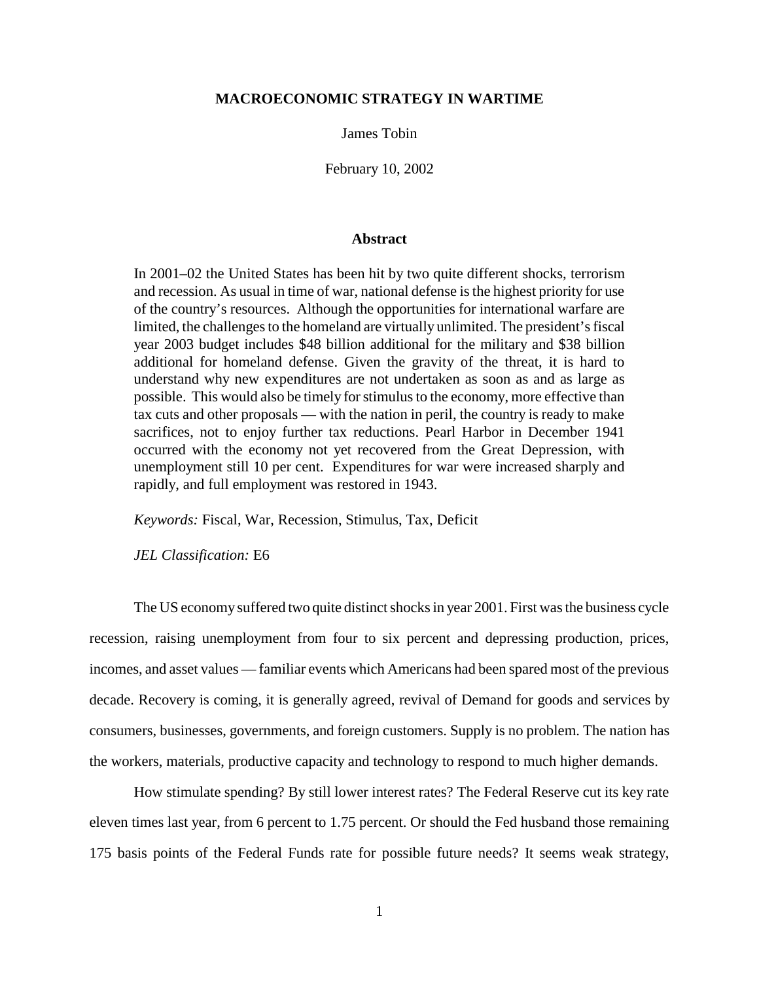## **MACROECONOMIC STRATEGY IN WARTIME**

James Tobin

February 10, 2002

## **Abstract**

In 2001–02 the United States has been hit by two quite different shocks, terrorism and recession. As usual in time of war, national defense is the highest priority for use of the country's resources. Although the opportunities for international warfare are limited, the challenges to the homeland are virtually unlimited. The president's fiscal year 2003 budget includes \$48 billion additional for the military and \$38 billion additional for homeland defense. Given the gravity of the threat, it is hard to understand why new expenditures are not undertaken as soon as and as large as possible. This would also be timely for stimulus to the economy, more effective than tax cuts and other proposals — with the nation in peril, the country is ready to make sacrifices, not to enjoy further tax reductions. Pearl Harbor in December 1941 occurred with the economy not yet recovered from the Great Depression, with unemployment still 10 per cent. Expenditures for war were increased sharply and rapidly, and full employment was restored in 1943.

*Keywords:* Fiscal, War, Recession, Stimulus, Tax, Deficit

*JEL Classification:* E6

The US economy suffered two quite distinct shocks in year 2001. First was the business cycle recession, raising unemployment from four to six percent and depressing production, prices, incomes, and asset values — familiar events which Americans had been spared most of the previous decade. Recovery is coming, it is generally agreed, revival of Demand for goods and services by consumers, businesses, governments, and foreign customers. Supply is no problem. The nation has the workers, materials, productive capacity and technology to respond to much higher demands.

How stimulate spending? By still lower interest rates? The Federal Reserve cut its key rate eleven times last year, from 6 percent to 1.75 percent. Or should the Fed husband those remaining 175 basis points of the Federal Funds rate for possible future needs? It seems weak strategy,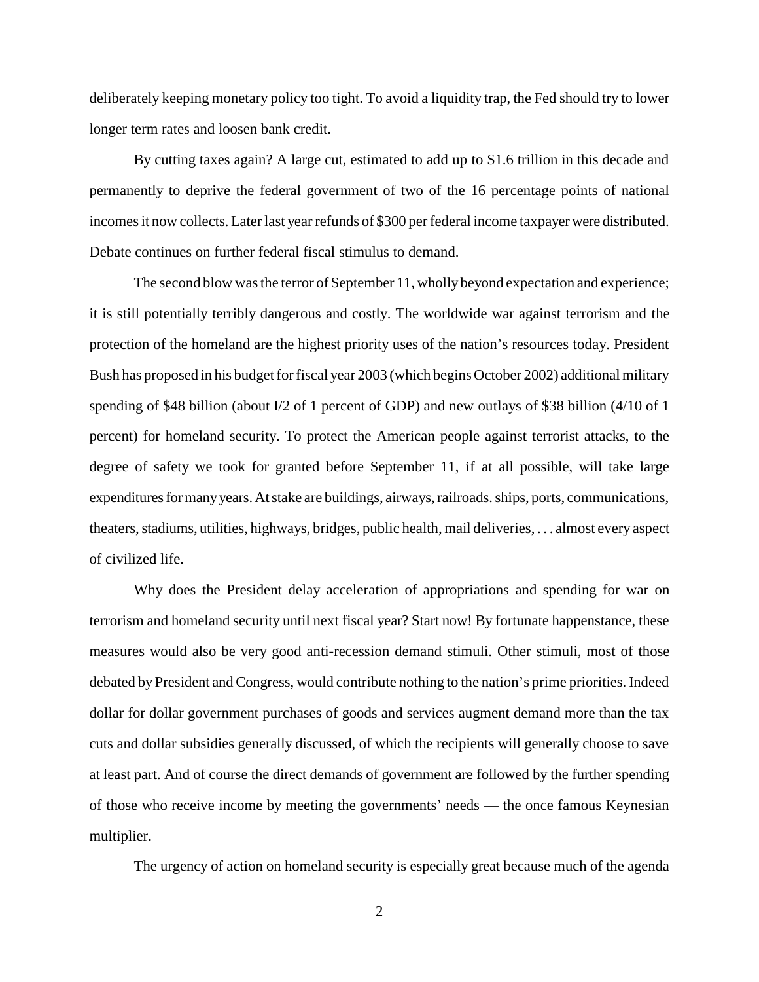deliberately keeping monetary policy too tight. To avoid a liquidity trap, the Fed should try to lower longer term rates and loosen bank credit.

By cutting taxes again? A large cut, estimated to add up to \$1.6 trillion in this decade and permanently to deprive the federal government of two of the 16 percentage points of national incomes it now collects. Later last year refunds of \$300 per federal income taxpayer were distributed. Debate continues on further federal fiscal stimulus to demand.

The second blow was the terror of September 11, wholly beyond expectation and experience; it is still potentially terribly dangerous and costly. The worldwide war against terrorism and the protection of the homeland are the highest priority uses of the nation's resources today. President Bush has proposed in his budget for fiscal year 2003 (which begins October 2002) additional military spending of \$48 billion (about I/2 of 1 percent of GDP) and new outlays of \$38 billion (4/10 of 1 percent) for homeland security. To protect the American people against terrorist attacks, to the degree of safety we took for granted before September 11, if at all possible, will take large expenditures for many years. At stake are buildings, airways, railroads. ships, ports, communications, theaters, stadiums, utilities, highways, bridges, public health, mail deliveries, . . . almost every aspect of civilized life.

Why does the President delay acceleration of appropriations and spending for war on terrorism and homeland security until next fiscal year? Start now! By fortunate happenstance, these measures would also be very good anti-recession demand stimuli. Other stimuli, most of those debated by President and Congress, would contribute nothing to the nation's prime priorities. Indeed dollar for dollar government purchases of goods and services augment demand more than the tax cuts and dollar subsidies generally discussed, of which the recipients will generally choose to save at least part. And of course the direct demands of government are followed by the further spending of those who receive income by meeting the governments' needs — the once famous Keynesian multiplier.

The urgency of action on homeland security is especially great because much of the agenda

2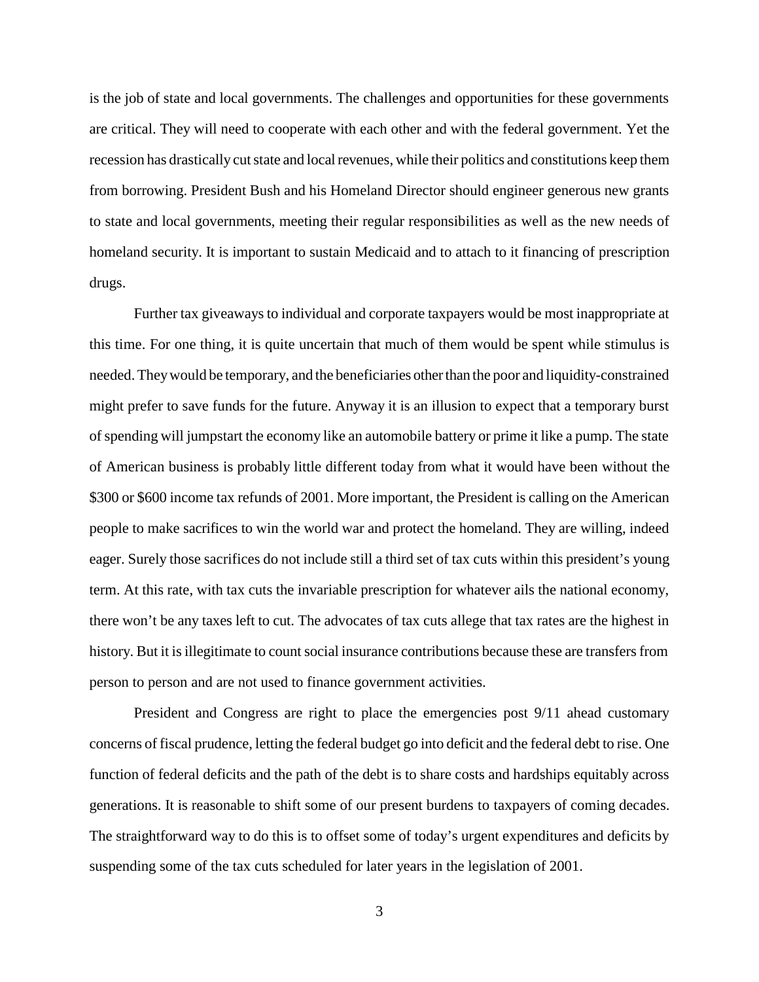is the job of state and local governments. The challenges and opportunities for these governments are critical. They will need to cooperate with each other and with the federal government. Yet the recession has drastically cut state and local revenues, while their politics and constitutions keep them from borrowing. President Bush and his Homeland Director should engineer generous new grants to state and local governments, meeting their regular responsibilities as well as the new needs of homeland security. It is important to sustain Medicaid and to attach to it financing of prescription drugs.

Further tax giveaways to individual and corporate taxpayers would be most inappropriate at this time. For one thing, it is quite uncertain that much of them would be spent while stimulus is needed. They would be temporary, and the beneficiaries other than the poor and liquidity-constrained might prefer to save funds for the future. Anyway it is an illusion to expect that a temporary burst of spending will jumpstart the economy like an automobile battery or prime it like a pump. The state of American business is probably little different today from what it would have been without the \$300 or \$600 income tax refunds of 2001. More important, the President is calling on the American people to make sacrifices to win the world war and protect the homeland. They are willing, indeed eager. Surely those sacrifices do not include still a third set of tax cuts within this president's young term. At this rate, with tax cuts the invariable prescription for whatever ails the national economy, there won't be any taxes left to cut. The advocates of tax cuts allege that tax rates are the highest in history. But it is illegitimate to count social insurance contributions because these are transfers from person to person and are not used to finance government activities.

President and Congress are right to place the emergencies post 9/11 ahead customary concerns of fiscal prudence, letting the federal budget go into deficit and the federal debt to rise. One function of federal deficits and the path of the debt is to share costs and hardships equitably across generations. It is reasonable to shift some of our present burdens to taxpayers of coming decades. The straightforward way to do this is to offset some of today's urgent expenditures and deficits by suspending some of the tax cuts scheduled for later years in the legislation of 2001.

3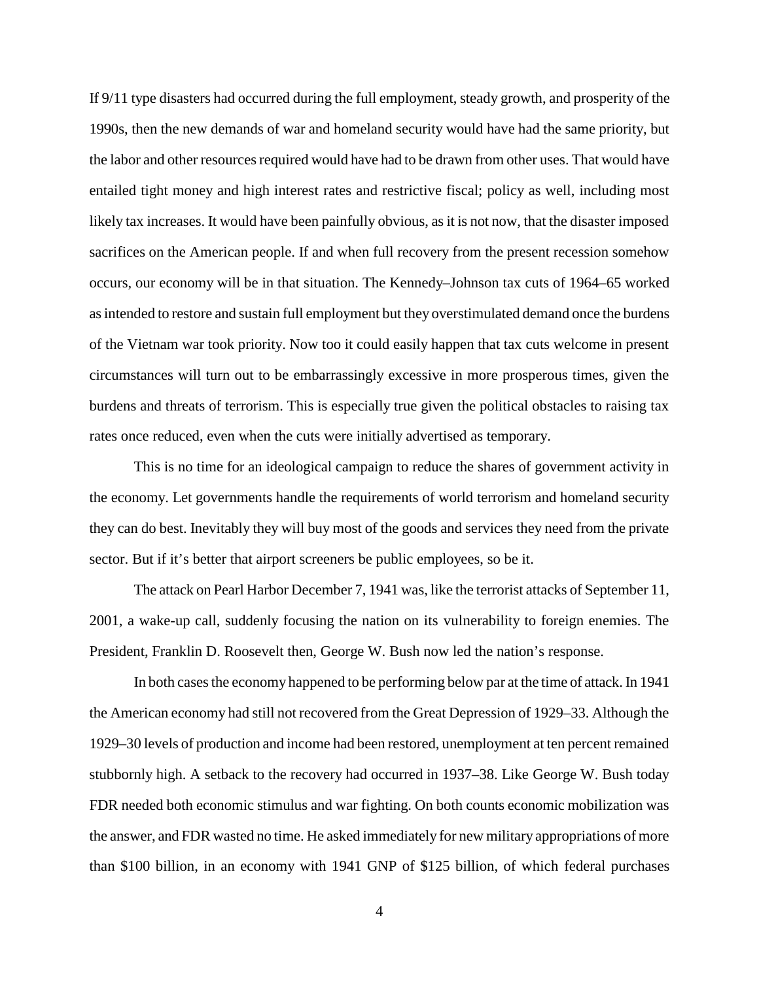If 9/11 type disasters had occurred during the full employment, steady growth, and prosperity of the 1990s, then the new demands of war and homeland security would have had the same priority, but the labor and other resources required would have had to be drawn from other uses. That would have entailed tight money and high interest rates and restrictive fiscal; policy as well, including most likely tax increases. It would have been painfully obvious, as it is not now, that the disaster imposed sacrifices on the American people. If and when full recovery from the present recession somehow occurs, our economy will be in that situation. The Kennedy–Johnson tax cuts of 1964–65 worked as intended to restore and sustain full employment but they overstimulated demand once the burdens of the Vietnam war took priority. Now too it could easily happen that tax cuts welcome in present circumstances will turn out to be embarrassingly excessive in more prosperous times, given the burdens and threats of terrorism. This is especially true given the political obstacles to raising tax rates once reduced, even when the cuts were initially advertised as temporary.

This is no time for an ideological campaign to reduce the shares of government activity in the economy. Let governments handle the requirements of world terrorism and homeland security they can do best. Inevitably they will buy most of the goods and services they need from the private sector. But if it's better that airport screeners be public employees, so be it.

The attack on Pearl Harbor December 7, 1941 was, like the terrorist attacks of September 11, 2001, a wake-up call, suddenly focusing the nation on its vulnerability to foreign enemies. The President, Franklin D. Roosevelt then, George W. Bush now led the nation's response.

In both cases the economy happened to be performing below par at the time of attack. In 1941 the American economy had still not recovered from the Great Depression of 1929–33. Although the 1929–30 levels of production and income had been restored, unemployment at ten percent remained stubbornly high. A setback to the recovery had occurred in 1937–38. Like George W. Bush today FDR needed both economic stimulus and war fighting. On both counts economic mobilization was the answer, and FDR wasted no time. He asked immediately for new military appropriations of more than \$100 billion, in an economy with 1941 GNP of \$125 billion, of which federal purchases